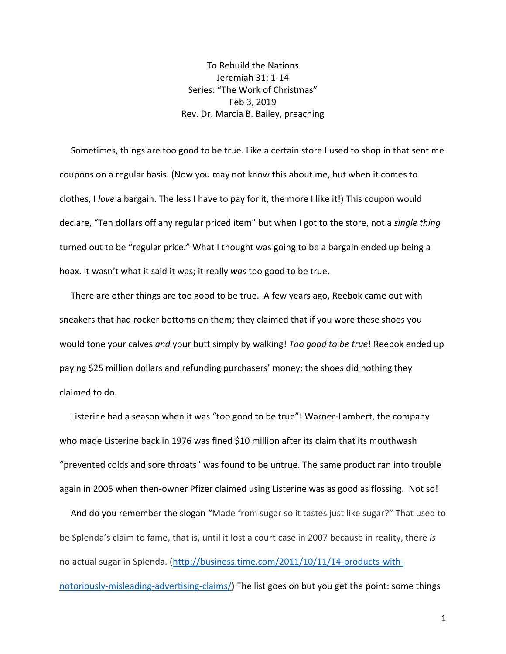To Rebuild the Nations Jeremiah 31: 1-14 Series: "The Work of Christmas" Feb 3, 2019 Rev. Dr. Marcia B. Bailey, preaching

 Sometimes, things are too good to be true. Like a certain store I used to shop in that sent me coupons on a regular basis. (Now you may not know this about me, but when it comes to clothes, I *love* a bargain. The less I have to pay for it, the more I like it!) This coupon would declare, "Ten dollars off any regular priced item" but when I got to the store, not a *single thing* turned out to be "regular price." What I thought was going to be a bargain ended up being a hoax. It wasn't what it said it was; it really *was* too good to be true.

 There are other things are too good to be true. A few years ago, Reebok came out with sneakers that had rocker bottoms on them; they claimed that if you wore these shoes you would tone your calves *and* your butt simply by walking! *Too good to be true*! Reebok ended up paying \$25 million dollars and refunding purchasers' money; the shoes did nothing they claimed to do.

 Listerine had a season when it was "too good to be true"! Warner-Lambert, the company who made Listerine back in 1976 was fined \$10 million after its claim that its mouthwash "prevented colds and sore throats" was found to be untrue. The same product ran into trouble again in 2005 when then-owner Pfizer claimed using Listerine was as good as flossing. Not so!

 And do you remember the slogan "Made from sugar so it tastes just like sugar?" That used to be Splenda's claim to fame, that is, until it lost a court case in 2007 because in reality, there *is* no actual sugar in Splenda. [\(http://business.time.com/2011/10/11/14-products-with](http://business.time.com/2011/10/11/14-products-with-notoriously-misleading-advertising-claims/)[notoriously-misleading-advertising-claims/\)](http://business.time.com/2011/10/11/14-products-with-notoriously-misleading-advertising-claims/) The list goes on but you get the point: some things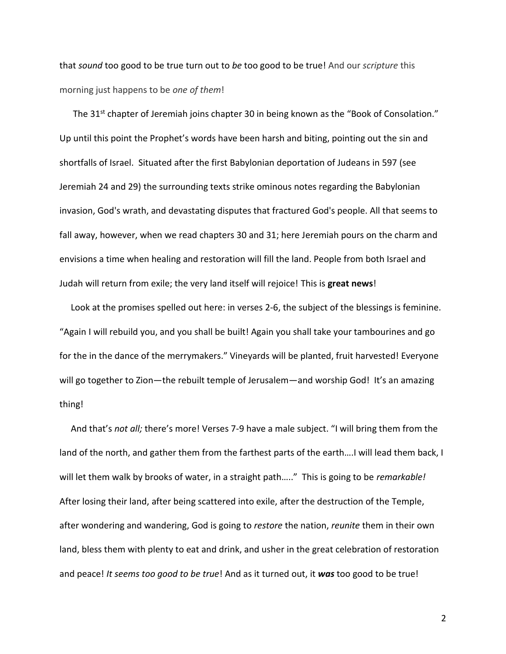that *sound* too good to be true turn out to *be* too good to be true! And our *scripture* this morning just happens to be *one of them*!

The 31<sup>st</sup> chapter of Jeremiah joins chapter 30 in being known as the "Book of Consolation." Up until this point the Prophet's words have been harsh and biting, pointing out the sin and shortfalls of Israel. Situated after the first Babylonian deportation of Judeans in 597 (see Jeremiah 24 and 29) the surrounding texts strike ominous notes regarding the Babylonian invasion, God's wrath, and devastating disputes that fractured God's people. All that seems to fall away, however, when we read chapters 30 and 31; here Jeremiah pours on the charm and envisions a time when healing and restoration will fill the land. People from both Israel and Judah will return from exile; the very land itself will rejoice! This is **great news**!

 Look at the promises spelled out here: in verses 2-6, the subject of the blessings is feminine. "Again I will rebuild you, and you shall be built! Again you shall take your tambourines and go for the in the dance of the merrymakers." Vineyards will be planted, fruit harvested! Everyone will go together to Zion-the rebuilt temple of Jerusalem-and worship God! It's an amazing thing!

 And that's *not all;* there's more! Verses 7-9 have a male subject. "I will bring them from the land of the north, and gather them from the farthest parts of the earth….I will lead them back, I will let them walk by brooks of water, in a straight path….." This is going to be *remarkable!* After losing their land, after being scattered into exile, after the destruction of the Temple, after wondering and wandering, God is going to *restore* the nation, *reunite* them in their own land, bless them with plenty to eat and drink, and usher in the great celebration of restoration and peace! *It seems too good to be true*! And as it turned out, it *was* too good to be true!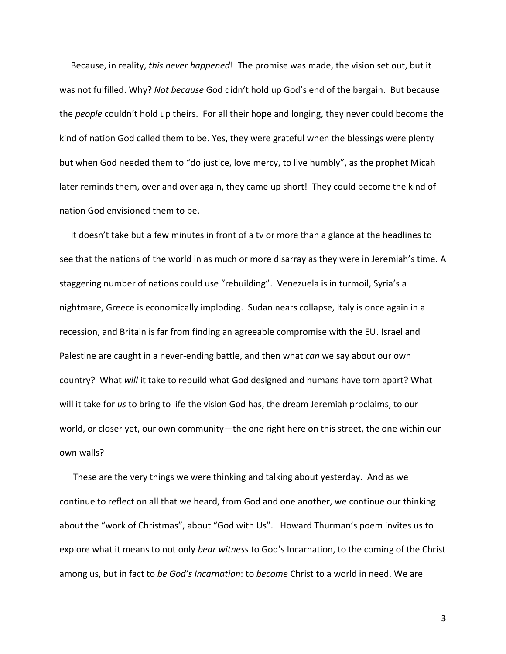Because, in reality, *this never happened*! The promise was made, the vision set out, but it was not fulfilled. Why? *Not because* God didn't hold up God's end of the bargain. But because the *people* couldn't hold up theirs. For all their hope and longing, they never could become the kind of nation God called them to be. Yes, they were grateful when the blessings were plenty but when God needed them to "do justice, love mercy, to live humbly", as the prophet Micah later reminds them, over and over again, they came up short! They could become the kind of nation God envisioned them to be.

 It doesn't take but a few minutes in front of a tv or more than a glance at the headlines to see that the nations of the world in as much or more disarray as they were in Jeremiah's time. A staggering number of nations could use "rebuilding". Venezuela is in turmoil, Syria's a nightmare, Greece is economically imploding. Sudan nears collapse, Italy is once again in a recession, and Britain is far from finding an agreeable compromise with the EU. Israel and Palestine are caught in a never-ending battle, and then what *can* we say about our own country? What *will* it take to rebuild what God designed and humans have torn apart? What will it take for *us* to bring to life the vision God has, the dream Jeremiah proclaims, to our world, or closer yet, our own community—the one right here on this street, the one within our own walls?

 These are the very things we were thinking and talking about yesterday. And as we continue to reflect on all that we heard, from God and one another, we continue our thinking about the "work of Christmas", about "God with Us". Howard Thurman's poem invites us to explore what it means to not only *bear witness* to God's Incarnation, to the coming of the Christ among us, but in fact to *be God's Incarnation*: to *become* Christ to a world in need. We are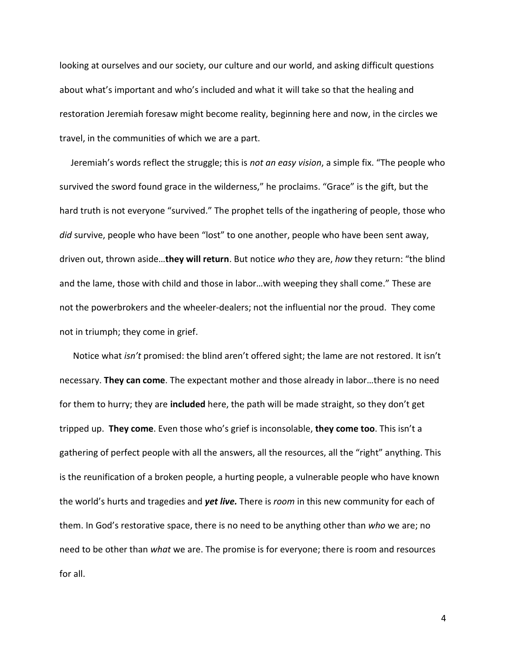looking at ourselves and our society, our culture and our world, and asking difficult questions about what's important and who's included and what it will take so that the healing and restoration Jeremiah foresaw might become reality, beginning here and now, in the circles we travel, in the communities of which we are a part.

 Jeremiah's words reflect the struggle; this is *not an easy vision*, a simple fix. "The people who survived the sword found grace in the wilderness," he proclaims. "Grace" is the gift, but the hard truth is not everyone "survived." The prophet tells of the ingathering of people, those who *did* survive, people who have been "lost" to one another, people who have been sent away, driven out, thrown aside…**they will return**. But notice *who* they are, *how* they return: "the blind and the lame, those with child and those in labor…with weeping they shall come." These are not the powerbrokers and the wheeler-dealers; not the influential nor the proud. They come not in triumph; they come in grief.

 Notice what *isn't* promised: the blind aren't offered sight; the lame are not restored. It isn't necessary. **They can come**. The expectant mother and those already in labor…there is no need for them to hurry; they are **included** here, the path will be made straight, so they don't get tripped up. **They come**. Even those who's grief is inconsolable, **they come too**. This isn't a gathering of perfect people with all the answers, all the resources, all the "right" anything. This is the reunification of a broken people, a hurting people, a vulnerable people who have known the world's hurts and tragedies and *yet live.* There is *room* in this new community for each of them. In God's restorative space, there is no need to be anything other than *who* we are; no need to be other than *what* we are. The promise is for everyone; there is room and resources for all.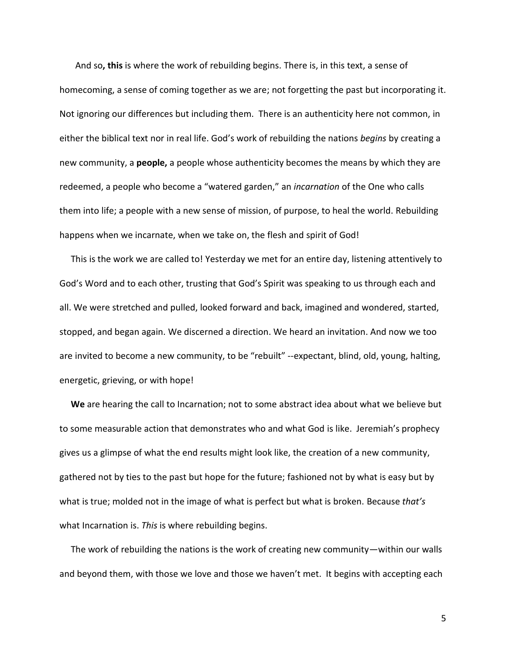And so**, this** is where the work of rebuilding begins. There is, in this text, a sense of homecoming, a sense of coming together as we are; not forgetting the past but incorporating it. Not ignoring our differences but including them. There is an authenticity here not common, in either the biblical text nor in real life. God's work of rebuilding the nations *begins* by creating a new community, a **people,** a people whose authenticity becomes the means by which they are redeemed, a people who become a "watered garden," an *incarnation* of the One who calls them into life; a people with a new sense of mission, of purpose, to heal the world. Rebuilding happens when we incarnate, when we take on, the flesh and spirit of God!

 This is the work we are called to! Yesterday we met for an entire day, listening attentively to God's Word and to each other, trusting that God's Spirit was speaking to us through each and all. We were stretched and pulled, looked forward and back, imagined and wondered, started, stopped, and began again. We discerned a direction. We heard an invitation. And now we too are invited to become a new community, to be "rebuilt" --expectant, blind, old, young, halting, energetic, grieving, or with hope!

 **We** are hearing the call to Incarnation; not to some abstract idea about what we believe but to some measurable action that demonstrates who and what God is like. Jeremiah's prophecy gives us a glimpse of what the end results might look like, the creation of a new community, gathered not by ties to the past but hope for the future; fashioned not by what is easy but by what is true; molded not in the image of what is perfect but what is broken. Because *that's*  what Incarnation is. *This* is where rebuilding begins.

 The work of rebuilding the nations is the work of creating new community—within our walls and beyond them, with those we love and those we haven't met. It begins with accepting each